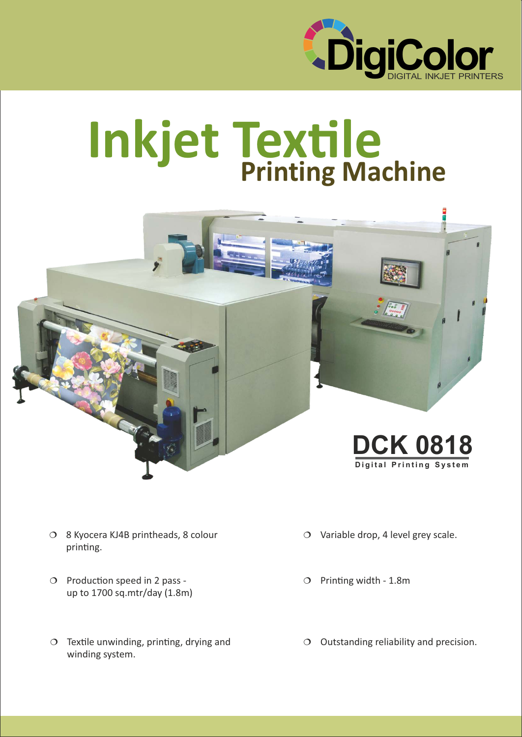

# **Printing Machine Inkjet Textile**



- ¦ 8 Kyocera KJ4B printheads, 8 colour printing.
- $O$  Production speed in 2 pass up to 1700 sq.mtr/day (1.8m)
- $\circ$  Textile unwinding, printing, drying and winding system.
- $\circ$  Variable drop, 4 level grey scale.
- $O$  Printing width 1.8m
- O Outstanding reliability and precision.